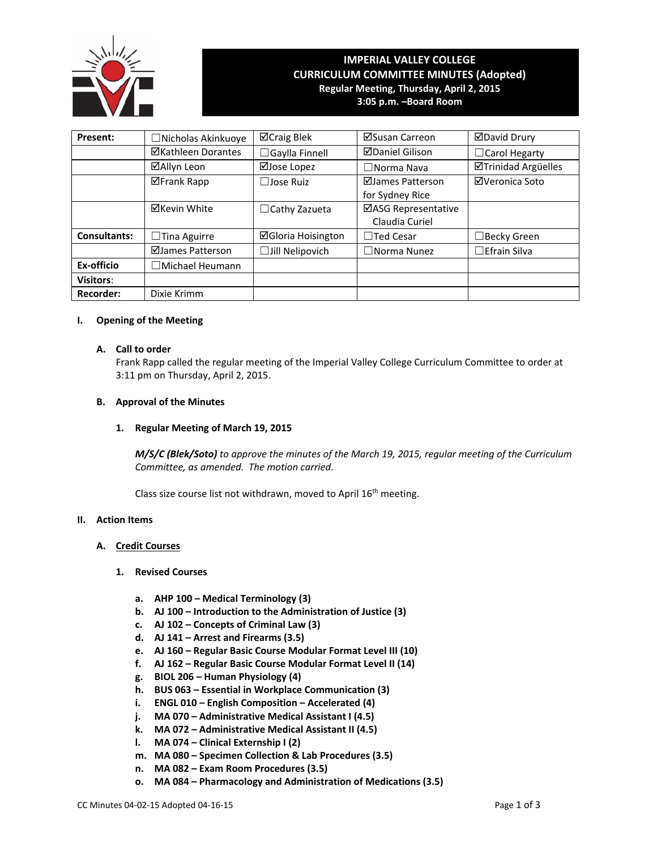

# **IMPERIAL VALLEY COLLEGE CURRICULUM COMMITTEE MINUTES (Adopted) Regular Meeting, Thursday, April 2, 2015 3:05 p.m. –Board Room**

| Present:         | □Nicholas Akinkuoye    | ⊠Craig Blek               | ⊠Susan Carreon         | <b>ØDavid Drury</b>        |
|------------------|------------------------|---------------------------|------------------------|----------------------------|
|                  | ⊠Kathleen Dorantes     | $\Box$ Gaylla Finnell     | <b>ØDaniel Gilison</b> | $\Box$ Carol Hegarty       |
|                  | ⊠Allyn Leon            | ⊠Jose Lopez               | $\Box$ Norma Nava      | <b>ØTrinidad Argüelles</b> |
|                  | <b>⊠Frank Rapp</b>     | $\Box$ Jose Ruiz          | ⊠James Patterson       | ⊠Veronica Soto             |
|                  |                        |                           | for Sydney Rice        |                            |
|                  | <b>⊠Kevin White</b>    | $\Box$ Cathy Zazueta      | ⊠ASG Representative    |                            |
|                  |                        |                           | Claudia Curiel         |                            |
| Consultants:     | $\Box$ Tina Aguirre    | <b>⊠Gloria Hoisington</b> | $\Box$ Ted Cesar       | $\Box$ Becky Green         |
|                  | ⊠James Patterson       | $\Box$ Jill Nelipovich    | $\square$ Norma Nunez  | $\Box$ Efrain Silva        |
| Ex-officio       | $\Box$ Michael Heumann |                           |                        |                            |
| <b>Visitors:</b> |                        |                           |                        |                            |
| <b>Recorder:</b> | Dixie Krimm            |                           |                        |                            |

# **I. Opening of the Meeting**

# **A. Call to order**

Frank Rapp called the regular meeting of the Imperial Valley College Curriculum Committee to order at 3:11 pm on Thursday, April 2, 2015.

# **B. Approval of the Minutes**

# **1. Regular Meeting of March 19, 2015**

*M/S/C (Blek/Soto) to approve the minutes of the March 19, 2015, regular meeting of the Curriculum Committee, as amended. The motion carried.*

Class size course list not withdrawn, moved to April 16<sup>th</sup> meeting.

# **II. Action Items**

### **A. Credit Courses**

### **1. Revised Courses**

- **a. AHP 100 – Medical Terminology (3)**
- **b. AJ 100 – Introduction to the Administration of Justice (3)**
- **c. AJ 102 – Concepts of Criminal Law (3)**
- **d. AJ 141 – Arrest and Firearms (3.5)**
- **e. AJ 160 – Regular Basic Course Modular Format Level III (10)**
- **f. AJ 162 – Regular Basic Course Modular Format Level II (14)**
- **g. BIOL 206 – Human Physiology (4)**
- **h. BUS 063 – Essential in Workplace Communication (3)**
- **i. ENGL 010 – English Composition – Accelerated (4)**
- **j. MA 070 – Administrative Medical Assistant I (4.5)**
- **k. MA 072 – Administrative Medical Assistant II (4.5)**
- **l. MA 074 – Clinical Externship I (2)**
- **m. MA 080 – Specimen Collection & Lab Procedures (3.5)**
- **n. MA 082 – Exam Room Procedures (3.5)**
- **o. MA 084 – Pharmacology and Administration of Medications (3.5)**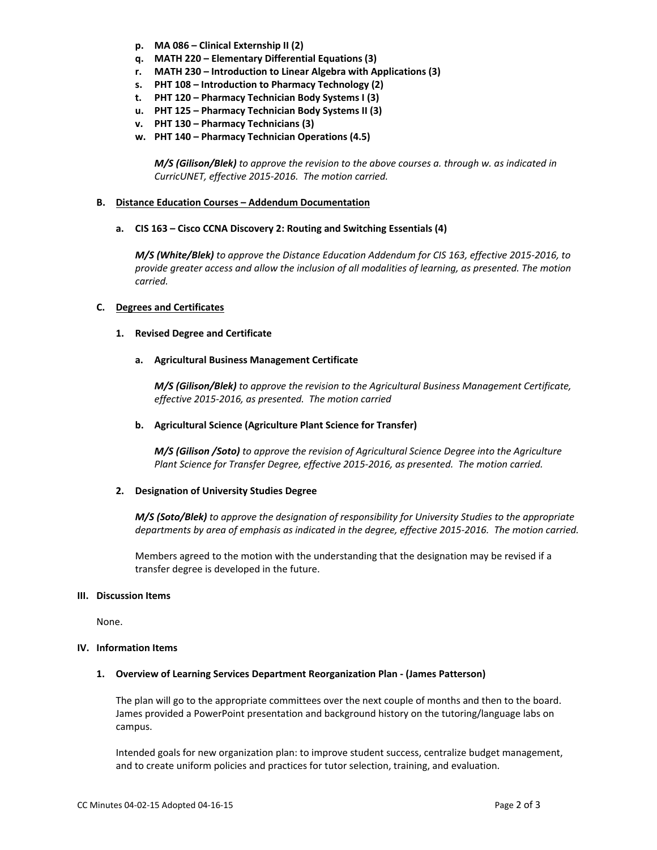- **p. MA 086 – Clinical Externship II (2)**
- **q. MATH 220 – Elementary Differential Equations (3)**
- **r. MATH 230 – Introduction to Linear Algebra with Applications (3)**
- **s. PHT 108 – Introduction to Pharmacy Technology (2)**
- **t. PHT 120 – Pharmacy Technician Body Systems I (3)**
- **u. PHT 125 – Pharmacy Technician Body Systems II (3)**
- **v. PHT 130 – Pharmacy Technicians (3)**
- **w. PHT 140 – Pharmacy Technician Operations (4.5)**

*M/S (Gilison/Blek) to approve the revision to the above courses a. through w. as indicated in CurricUNET, effective 2015‐2016. The motion carried.*

# **B. Distance Education Courses – Addendum Documentation**

# **a. CIS 163 – Cisco CCNA Discovery 2: Routing and Switching Essentials (4)**

*M/S (White/Blek) to approve the Distance Education Addendum for CIS 163, effective 2015‐2016, to provide greater access and allow the inclusion of all modalities of learning, as presented. The motion carried.*

# **C. Degrees and Certificates**

# **1. Revised Degree and Certificate**

# **a. Agricultural Business Management Certificate**

*M/S (Gilison/Blek) to approve the revision to the Agricultural Business Management Certificate, effective 2015‐2016, as presented. The motion carried*

# **b. Agricultural Science (Agriculture Plant Science for Transfer)**

*M/S (Gilison /Soto) to approve the revision of Agricultural Science Degree into the Agriculture Plant Science for Transfer Degree, effective 2015‐2016, as presented. The motion carried.*

# **2. Designation of University Studies Degree**

*M/S (Soto/Blek) to approve the designation of responsibility for University Studies to the appropriate* departments by area of emphasis as indicated in the degree, effective 2015-2016. The motion carried.

Members agreed to the motion with the understanding that the designation may be revised if a transfer degree is developed in the future.

### **III. Discussion Items**

None.

### **IV. Information Items**

### **1. Overview of Learning Services Department Reorganization Plan ‐ (James Patterson)**

The plan will go to the appropriate committees over the next couple of months and then to the board. James provided a PowerPoint presentation and background history on the tutoring/language labs on campus.

Intended goals for new organization plan: to improve student success, centralize budget management, and to create uniform policies and practices for tutor selection, training, and evaluation.